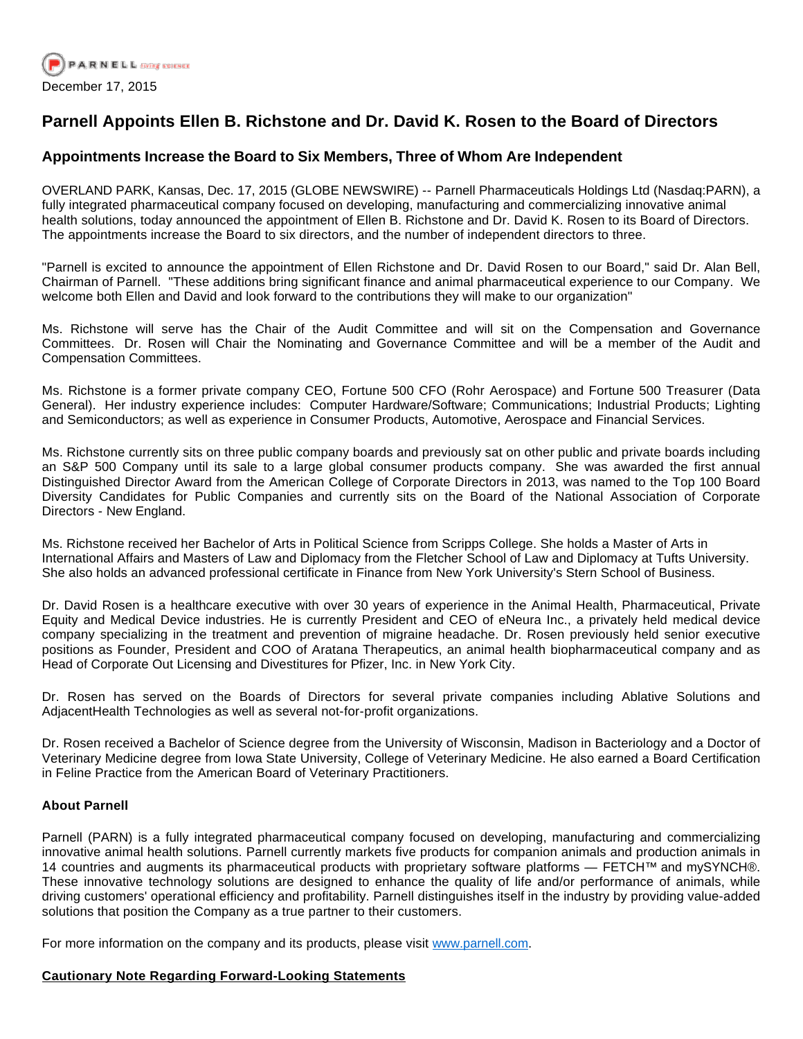

## **Parnell Appoints Ellen B. Richstone and Dr. David K. Rosen to the Board of Directors**

## **Appointments Increase the Board to Six Members, Three of Whom Are Independent**

OVERLAND PARK, Kansas, Dec. 17, 2015 (GLOBE NEWSWIRE) -- Parnell Pharmaceuticals Holdings Ltd (Nasdaq:PARN), a fully integrated pharmaceutical company focused on developing, manufacturing and commercializing innovative animal health solutions, today announced the appointment of Ellen B. Richstone and Dr. David K. Rosen to its Board of Directors. The appointments increase the Board to six directors, and the number of independent directors to three.

"Parnell is excited to announce the appointment of Ellen Richstone and Dr. David Rosen to our Board," said Dr. Alan Bell, Chairman of Parnell. "These additions bring significant finance and animal pharmaceutical experience to our Company. We welcome both Ellen and David and look forward to the contributions they will make to our organization"

Ms. Richstone will serve has the Chair of the Audit Committee and will sit on the Compensation and Governance Committees. Dr. Rosen will Chair the Nominating and Governance Committee and will be a member of the Audit and Compensation Committees.

Ms. Richstone is a former private company CEO, Fortune 500 CFO (Rohr Aerospace) and Fortune 500 Treasurer (Data General). Her industry experience includes: Computer Hardware/Software; Communications; Industrial Products; Lighting and Semiconductors; as well as experience in Consumer Products, Automotive, Aerospace and Financial Services.

Ms. Richstone currently sits on three public company boards and previously sat on other public and private boards including an S&P 500 Company until its sale to a large global consumer products company. She was awarded the first annual Distinguished Director Award from the American College of Corporate Directors in 2013, was named to the Top 100 Board Diversity Candidates for Public Companies and currently sits on the Board of the National Association of Corporate Directors - New England.

Ms. Richstone received her Bachelor of Arts in Political Science from Scripps College. She holds a Master of Arts in International Affairs and Masters of Law and Diplomacy from the Fletcher School of Law and Diplomacy at Tufts University. She also holds an advanced professional certificate in Finance from New York University's Stern School of Business.

Dr. David Rosen is a healthcare executive with over 30 years of experience in the Animal Health, Pharmaceutical, Private Equity and Medical Device industries. He is currently President and CEO of eNeura Inc., a privately held medical device company specializing in the treatment and prevention of migraine headache. Dr. Rosen previously held senior executive positions as Founder, President and COO of Aratana Therapeutics, an animal health biopharmaceutical company and as Head of Corporate Out Licensing and Divestitures for Pfizer, Inc. in New York City.

Dr. Rosen has served on the Boards of Directors for several private companies including Ablative Solutions and AdjacentHealth Technologies as well as several not-for-profit organizations.

Dr. Rosen received a Bachelor of Science degree from the University of Wisconsin, Madison in Bacteriology and a Doctor of Veterinary Medicine degree from Iowa State University, College of Veterinary Medicine. He also earned a Board Certification in Feline Practice from the American Board of Veterinary Practitioners.

## **About Parnell**

Parnell (PARN) is a fully integrated pharmaceutical company focused on developing, manufacturing and commercializing innovative animal health solutions. Parnell currently markets five products for companion animals and production animals in 14 countries and augments its pharmaceutical products with proprietary software platforms — FETCH™ and mySYNCH®. These innovative technology solutions are designed to enhance the quality of life and/or performance of animals, while driving customers' operational efficiency and profitability. Parnell distinguishes itself in the industry by providing value-added solutions that position the Company as a true partner to their customers.

For more information on the company and its products, please visit [www.parnell.com.](http://www.globenewswire.com/Tracker?data=clS5GlvxCFFbgaXLV8v8wbyBouxBUvGKJpLpaoSc2FiVB_6Jq7twcsvLTLc5rqDSbJq9t-laxX18W1SeJz0kaQ==)

## **Cautionary Note Regarding Forward-Looking Statements**